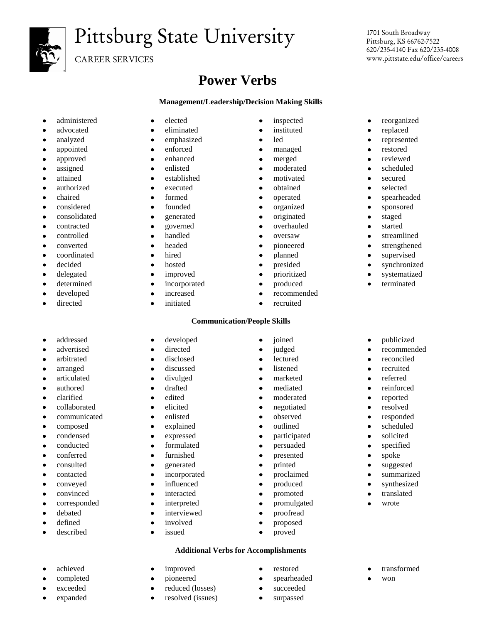

# Pittsburg State University

CAREER SERVICES

## **Power Verbs**

### **Management/Leadership/Decision Making Skills**

- 
- 
- 
- 
- 
- 
- 
- 
- 
- 
- consolidated generated originated staged
- 
- 
- 
- 
- 
- 
- 
- 
- 
- 
- advocated eliminated instituted replaced
- analyzed emphasized led represented
- appointed enforced managed restored
- approved enhanced enhanced merged reviewed
- assigned enlisted moderated scheduled
- attained established motivated secured
- authorized executed obtained selected
	-
	-
	-
- contracted governed overhauled started
	-
	-
	-
	-
	-
	-
- developed increased recommended
- directed initiated cruited

### **Communication/People Skills**

- 
- addressed developed joined publicized
	-
	-
	-
	-
	-
	-
	-
- collaborated elicited elicited negotiated resolved communicated • enlisted • enlisted • observed • responded
- composed explained outlined scheduled
- condensed expressed participated solicited
- conducted formulated formulated persuaded specified
- conferred furnished presented spoke
	-
- consulted generated printed suggested
- contacted incorporated proclaimed summarized
- conveyed influenced produced synthesized
- convinced interacted promoted translated
- corresponded interpreted promulgated wrote
- debated interviewed proofread defined • involved • proposed
- described issued proved

### **Additional Verbs for Accomplishments**

- 
- achieved improved improved restored restored transformed
- completed pioneered spearheaded won
- exceeded exceeded exceeded exceeded exceeded exceeded exceeded expanded • resolved (issues) • surpassed
- 1701 South Broadway Pittsburg, KS 66762-7522 620/235-4140 Fax 620/235-4008 www.pittstate.edu/office/careers
- administered elected inspected reorganized
	-
	-
	-
	-
	-
	-
	-
- chaired formed operated spearheaded
- considered founded organized sponsored
	-
	-
- controlled handled bandled controlled streamlined
- converted headed pioneered strengthened
- coordinated hired planned supervised
- decided hosted presided synchronized
- delegated improved prioritized systematized
- determined incorporated produced terminated
	-
- advertised directed judged recommended
- arbitrated disclosed lectured reconciled
- arranged discussed listened recruited
- articulated divulged marketed referred
- authored drafted drafted mediated reinforced
- clarified edited edited moderated reported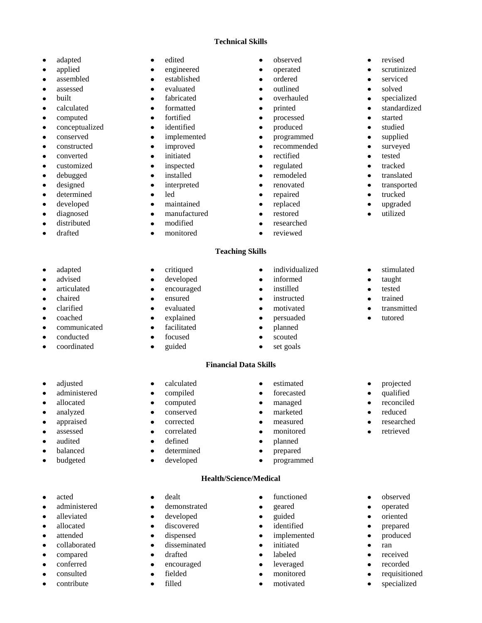### **Technical Skills**

- 
- 
- 
- 
- 
- 
- 
- conceptualized identified produced studied  $\bullet$
- 
- 
- 
- 
- 
- 
- determined led repaired trucked  $\bullet$
- $\bullet$
- 
- $\bullet$
- $\bullet$

 $\bullet$ 

 $\bullet$ 

 $\bullet$ 

- adapted edited edited observed revised
	-
- assembled established ordered serviced
	-
	-
	-
- computed fortified fortified processed started
	-
- conserved implemented programmed supplied
- constructed improved recommended surveyed
- converted initiated rectified tested
- customized inspected regulated tracked
	-
	-
	-
	-
- distributed modified researched
- drafted monitored reviewed
	- **Teaching Skills**
		-
- adapted critiqued individualized stimulated
- advised developed informed taught
	-
	-
	-
- communicated facilitated planned
- conducted focused scouted
- coordinated · guided · set goals

### **Financial Data Skills**

- -
	-
	-
	-
	-
- audited defined planned
- balanced determined prepared
- budgeted developed programmed

### **Health/Science/Medical**

- 
- administered demonstrated geared operated operated operated operated operated oriented oriented  $\alpha$
- alleviated developed guided oriented
- allocated discovered identified prepared
- attended dispensed implemented produced collaborated • disseminated • initiated • ran
	-
- compared drafted labeled labeled received
- conferred encouraged leveraged recorded consulted fielded monitored requisitioned
	-
- contribute filled motivated specialized
- 
- applied engineered operated scrutinized
	-
- assessed evaluated evaluated outlined solved
- built **a specialized out** fabricated **out** specialized **out** specialized **out** specialized
- calculated formatted printed standardized
	-
	-
	-
	-
	-
	-
- debugged installed remodeled translated
- designed interpreted renovated transported
	-
- developed maintained replaced upgraded
- diagnosed manufactured restored utilized
	-
	-
- articulated encouraged instilled tested
- chaired ensured instructed trained
- clarified evaluated evaluated motivated transmitted
- coached explained explained persuaded tutored
- adjusted calculated calculated estimated projected
- administered compiled forecasted qualified
- allocated **a** computed **a** managed **a** reconciled
- analyzed conserved marketed reduced
- appraised corrected measured researched
- assessed correlated monitored retrieved
- acted dealt dealt functioned observed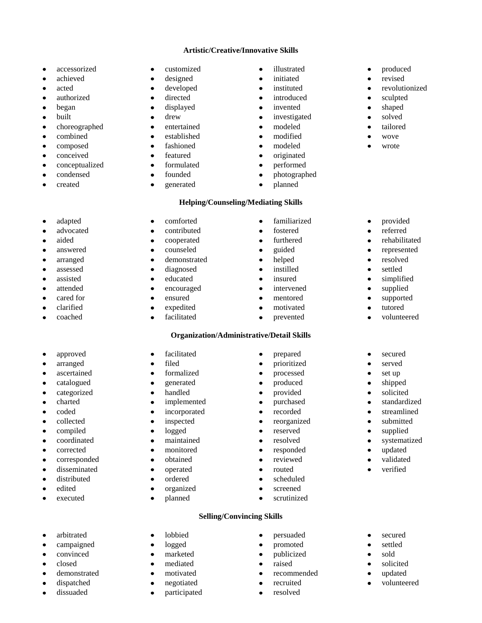### **Artistic/Creative/Innovative Skills**

- 
- 
- 
- 
- 
- 
- choreographed entertained modeled tailored tailored
- 
- 
- 
- conceptualized formulated performed  $\bullet$
- condensed founded founded photographed
- $\bullet$

 $\bullet$ 

 $\bullet$ 

 $\bullet$ 

- accessorized customized illustrated produced
- achieved designed initiated revised
- acted developed instituted revolutionized
- authorized directed introduced sculpted
- began **e** displayed **e** invented **e** shaped
- built drew drew investigated solved
	-
- combined established modified wove
- composed fashioned fashioned modeled wrote
- conceived featured featured originated
	-
	-
- created generated planned
- 
- 
- 
- 
- 
- 
- 
- 
- 
- 
- 
- 

### **Helping/Counseling/Mediating Skills**

- adapted comforted familiarized provided
- advocated contributed fostered feferred feferred
- aided cooperated furthered rehabilitated
- answered counseled guided represented
- arranged demonstrated helped resolved
- assessed diagnosed diagnosed instilled settled
- assisted educated insured simplified
	-
	-
	-
	-

### **Organization/Administrative/Detail Skills**

- approved facilitated prepared secured
	-
	-
	-
	-
	-
	-
	-
	-
	-
	-
	-
- disseminated operated couted routed verified
- distributed ordered scheduled
- edited organized screened
- executed planned scrutinized

### **Selling/Convincing Skills**

- arbitrated lobbied persuaded secured
- campaigned logged promoted settled
- convinced marketed publicized sold
- closed mediated raised solicited
- demonstrated **a** motivated **a** motivated **a** recommended **a** updated
- dispatched negotiated recruited volunteered
- dissuaded participated resolved
- 
- 
- 
- 
- 
- -
- attended encouraged intervened supplied
- cared for **example and supported and supported supported supported supported supported**
- clarified expedited motivated motivated tutored
- coached facilitated prevented volunteered
	-
	-
- arranged filed prioritized served
- ascertained formalized processed set up
- catalogued generated produced shipped
- categorized handled provided solicited
- charted implemented purchased standardized
- coded incorporated recorded streamlined
- collected inspected inspected reorganized submitted
- compiled logged reserved supplied
- coordinated maintained resolved systematized
- corrected monitored responded updated
- corresponded obtained reviewed validated